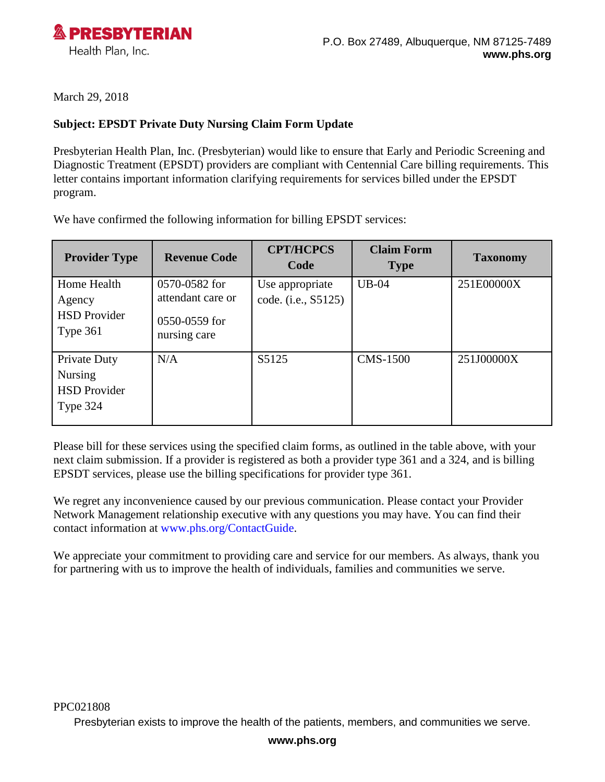

March 29, 2018

## **Subject: EPSDT Private Duty Nursing Claim Form Update**

Presbyterian Health Plan, Inc. (Presbyterian) would like to ensure that Early and Periodic Screening and Diagnostic Treatment (EPSDT) providers are compliant with Centennial Care billing requirements. This letter contains important information clarifying requirements for services billed under the EPSDT program.

We have confirmed the following information for billing EPSDT services:

| <b>Provider Type</b>                                              | <b>Revenue Code</b>                                                 | <b>CPT/HCPCS</b><br>Code               | <b>Claim Form</b><br><b>Type</b> | <b>Taxonomy</b> |
|-------------------------------------------------------------------|---------------------------------------------------------------------|----------------------------------------|----------------------------------|-----------------|
| Home Health<br>Agency<br><b>HSD Provider</b><br>Type $361$        | 0570-0582 for<br>attendant care or<br>0550-0559 for<br>nursing care | Use appropriate<br>code. (i.e., S5125) | $UB-04$                          | 251E00000X      |
| Private Duty<br><b>Nursing</b><br><b>HSD Provider</b><br>Type 324 | N/A                                                                 | S5125                                  | <b>CMS-1500</b>                  | 251J00000X      |

Please bill for these services using the specified claim forms, as outlined in the table above, with your next claim submission. If a provider is registered as both a provider type 361 and a 324, and is billing EPSDT services, please use the billing specifications for provider type 361.

We regret any inconvenience caused by our previous communication. Please contact your Provider Network Management relationship executive with any questions you may have. You can find their contact information at [www.phs.org/ContactGuide.](http://www.phs.org/ContactGuide)

We appreciate your commitment to providing care and service for our members. As always, thank you for partnering with us to improve the health of individuals, families and communities we serve.